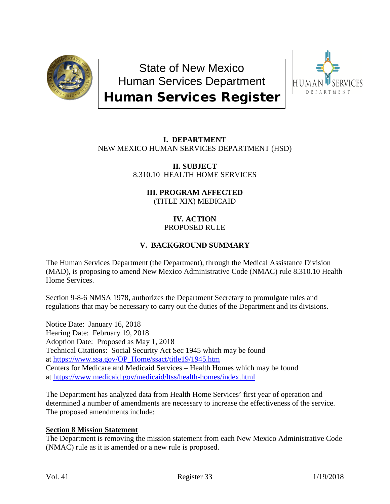

State of New Mexico Human Services Department Human Services Register



## **I. DEPARTMENT** NEW MEXICO HUMAN SERVICES DEPARTMENT (HSD)

**II. SUBJECT** 8.310.10 HEALTH HOME SERVICES

> **III. PROGRAM AFFECTED** (TITLE XIX) MEDICAID

#### **IV. ACTION** PROPOSED RULE

# **V. BACKGROUND SUMMARY**

The Human Services Department (the Department), through the Medical Assistance Division (MAD), is proposing to amend New Mexico Administrative Code (NMAC) rule 8.310.10 Health Home Services.

Section 9-8-6 NMSA 1978, authorizes the Department Secretary to promulgate rules and regulations that may be necessary to carry out the duties of the Department and its divisions.

Notice Date: January 16, 2018 Hearing Date: February 19, 2018 Adoption Date: Proposed as May 1, 2018 Technical Citations: Social Security Act Sec 1945 which may be found at [https://www.ssa.gov/OP\\_Home/ssact/title19/1945.htm](https://www.ssa.gov/OP_Home/ssact/title19/1945.htm) Centers for Medicare and Medicaid Services – Health Homes which may be found at<https://www.medicaid.gov/medicaid/ltss/health-homes/index.html>

The Department has analyzed data from Health Home Services' first year of operation and determined a number of amendments are necessary to increase the effectiveness of the service. The proposed amendments include:

## **Section 8 Mission Statement**

The Department is removing the mission statement from each New Mexico Administrative Code (NMAC) rule as it is amended or a new rule is proposed.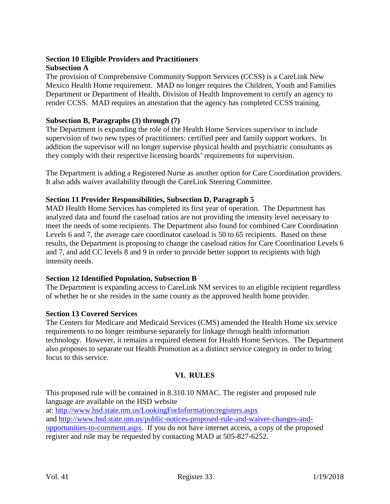#### **Section 10 Eligible Providers and Practitioners Subsection A**

The provision of Comprehensive Community Support Services (CCSS) is a CareLink New Mexico Health Home requirement. MAD no longer requires the Children, Youth and Families Department or Department of Health, Division of Health Improvement to certify an agency to render CCSS. MAD requires an attestation that the agency has completed CCSS training.

## **Subsection B, Paragraphs (3) through (7)**

The Department is expanding the role of the Health Home Services supervisor to include supervision of two new types of practitioners: certified peer and family support workers. In addition the supervisor will no longer supervise physical health and psychiatric consultants as they comply with their respective licensing boards' requirements for supervision.

The Department is adding a Registered Nurse as another option for Care Coordination providers. It also adds waiver availability through the CareLink Steering Committee.

## **Section 11 Provider Responsibilities, Subsection D, Paragraph 5**

MAD Health Home Services has completed its first year of operation. The Department has analyzed data and found the caseload ratios are not providing the intensity level necessary to meet the needs of some recipients. The Department also found for combined Care Coordination Levels 6 and 7, the average care coordinator caseload is 50 to 65 recipients. Based on these results, the Department is proposing to change the caseload ratios for Care Coordination Levels 6 and 7, and add CC levels 8 and 9 in order to provide better support to recipients with high intensity needs.

#### **Section 12 Identified Population, Subsection B**

The Department is expanding access to CareLink NM services to an eligible recipient regardless of whether he or she resides in the same county as the approved health home provider.

#### **Section 13 Covered Services**

The Centers for Medicare and Medicaid Services (CMS) amended the Health Home six service requirements to no longer reimburse separately for linkage through health information technology. However, it remains a required element for Health Home Services. The Department also proposes to separate out Health Promotion as a distinct service category in order to bring focus to this service.

## **VI. RULES**

This proposed rule will be contained in 8.310.10 NMAC. The register and proposed rule language are available on the HSD website

at:<http://www.hsd.state.nm.us/LookingForInformation/registers.aspx> and [http://www.hsd.state.nm.us/public-notices-proposed-rule-and-waiver-changes-and](http://www.hsd.state.nm.us/public-notices-proposed-rule-and-waiver-changes-and-opportunities-to-comment.aspx)[opportunities-to-comment.aspx.](http://www.hsd.state.nm.us/public-notices-proposed-rule-and-waiver-changes-and-opportunities-to-comment.aspx) If you do not have internet access, a copy of the proposed register and rule may be requested by contacting MAD at 505-827-6252.